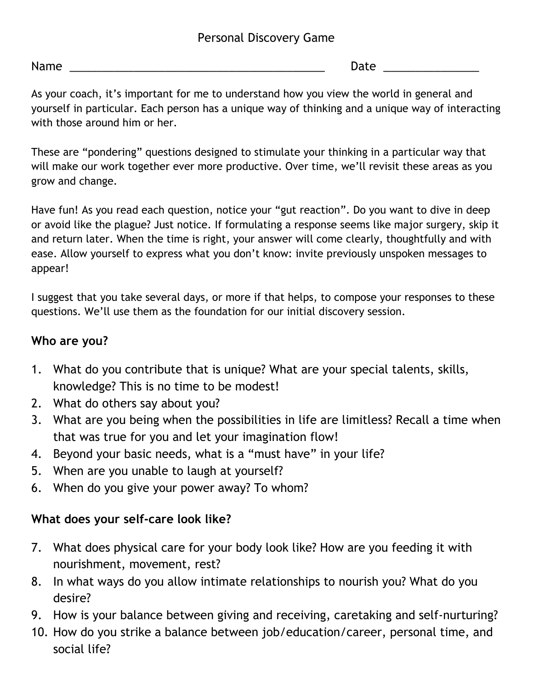### Personal Discovery Game

Name **Name** and the set of the set of the set of the set of the set of the set of the set of the set of the set of the set of the set of the set of the set of the set of the set of the set of the set of the set of the set

As your coach, it's important for me to understand how you view the world in general and yourself in particular. Each person has a unique way of thinking and a unique way of interacting with those around him or her.

These are "pondering" questions designed to stimulate your thinking in a particular way that will make our work together ever more productive. Over time, we'll revisit these areas as you grow and change.

Have fun! As you read each question, notice your "gut reaction". Do you want to dive in deep or avoid like the plague? Just notice. If formulating a response seems like major surgery, skip it and return later. When the time is right, your answer will come clearly, thoughtfully and with ease. Allow yourself to express what you don't know: invite previously unspoken messages to appear!

I suggest that you take several days, or more if that helps, to compose your responses to these questions. We'll use them as the foundation for our initial discovery session.

#### Who are you?

- 1. What do you contribute that is unique? What are your special talents, skills, knowledge? This is no time to be modest!
- 2. What do others say about you?
- 3. What are you being when the possibilities in life are limitless? Recall a time when that was true for you and let your imagination flow!
- 4. Beyond your basic needs, what is a "must have" in your life?
- 5. When are you unable to laugh at yourself?
- 6. When do you give your power away? To whom?

### What does your self-care look like?

- 7. What does physical care for your body look like? How are you feeding it with nourishment, movement, rest?
- 8. In what ways do you allow intimate relationships to nourish you? What do you desire?
- 9. How is your balance between giving and receiving, caretaking and self-nurturing?
- 10. How do you strike a balance between job/education/career, personal time, and social life?